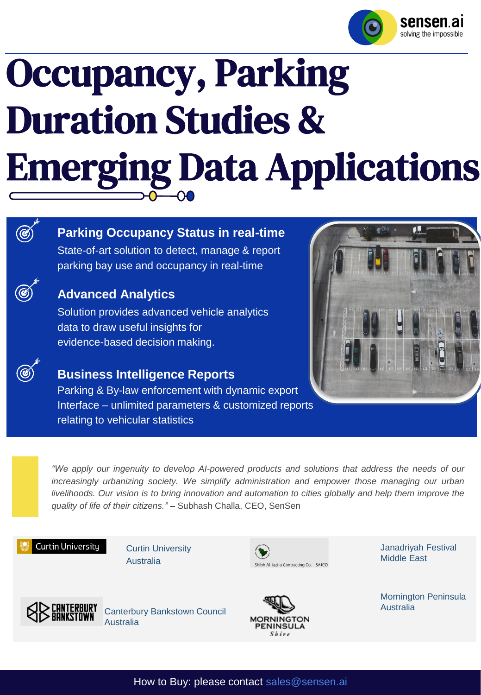

# Occupancy, Parking Duration Studies & Emerging Data Applications

## G

## **Parking Occupancy Status in real-time**

State-of-art solution to detect, manage & report parking bay use and occupancy in real-time

## **Advanced Analytics**

Solution provides advanced vehicle analytics data to draw useful insights for evidence-based decision making.

## **Business Intelligence Reports**

Parking & By-law enforcement with dynamic export Interface – unlimited parameters & customized reports relating to vehicular statistics



*"We apply our ingenuity to develop AI-powered products and solutions that address the needs of our increasingly urbanizing society. We simplify administration and empower those managing our urban* livelihoods. Our vision is to bring innovation and automation to cities globally and help them improve the *quality of life of their citizens." –* Subhash Challa, CEO, SenSen

## Curtin University

Curtin University Australia



Janadriyah Festival Middle East



Canterbury Bankstown Council Australia



Mornington Peninsula Australia